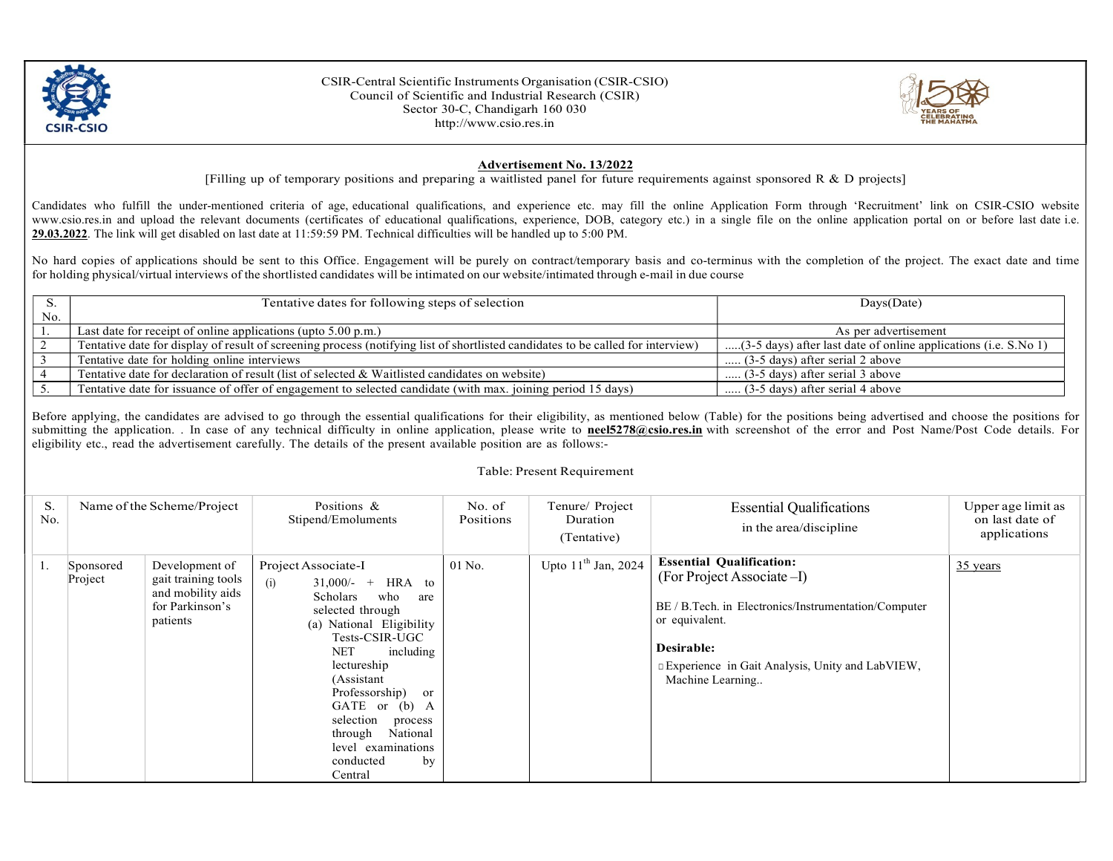

CSIR-Central Scientific Instruments Organisation (CSIR-CSIO) Council of Scientific and Industrial Research (CSIR) Sector 30-C, Chandigarh 160 030 http://www.csio.res.in



## Advertisement No. 13/2022

[Filling up of temporary positions and preparing a waitlisted panel for future requirements against sponsored R  $\&$  D projects]

Candidates who fulfill the under-mentioned criteria of age, educational qualifications, and experience etc. may fill the online Application Form through 'Recruitment' link on CSIR-CSIO website www.csio.res.in and upload the relevant documents (certificates of educational qualifications, experience, DOB, category etc.) in a single file on the online application portal on or before last date i.e. 29.03.2022. The link will get disabled on last date at 11:59:59 PM. Technical difficulties will be handled up to 5:00 PM.

No hard copies of applications should be sent to this Office. Engagement will be purely on contract/temporary basis and co-terminus with the completion of the project. The exact date and time for holding physical/virtual interviews of the shortlisted candidates will be intimated on our website/intimated through e-mail in due course

|     | Tentative dates for following steps of selection                                                                                | $_{\text{Days}(\text{Date})}$                                   |  |
|-----|---------------------------------------------------------------------------------------------------------------------------------|-----------------------------------------------------------------|--|
| No. |                                                                                                                                 |                                                                 |  |
|     | Last date for receipt of online applications (upto $5.00$ p.m.)                                                                 | As per advertisement                                            |  |
|     | Tentative date for display of result of screening process (notifying list of shortlisted candidates to be called for interview) | (3-5 days) after last date of online applications (i.e. S.No 1) |  |
|     | Tentative date for holding online interviews                                                                                    | $(3-5 \text{ days})$ after serial 2 above                       |  |
|     | Tentative date for declaration of result (list of selected & Waitlisted candidates on website)                                  | $(3-5 \text{ days})$ after serial 3 above                       |  |
|     | Tentative date for issuance of offer of engagement to selected candidate (with max. joining period 15 days)                     | $(3-5 \text{ days})$ after serial 4 above                       |  |

Before applying, the candidates are advised to go through the essential qualifications for their eligibility, as mentioned below (Table) for the positions being advertised and choose the positions for submitting the application. . In case of any technical difficulty in online application, please write to **neel5278@csio.res.in** with screenshot of the error and Post Name/Post Code details. For eligibility etc., read the advertisement carefully. The details of the present available position are as follows:-

## Table: Present Requirement

| S.<br>No. |                      | Name of the Scheme/Project                                                                | Positions &<br>Stipend/Emoluments                                                                                                                                                                                                                                                                                                              | No. of<br>Positions | Tenure/ Project<br>Duration<br>(Tentative) | <b>Essential Qualifications</b><br>in the area/discipline                                                                                                                                                                    | Upper age limit as<br>on last date of<br>applications |
|-----------|----------------------|-------------------------------------------------------------------------------------------|------------------------------------------------------------------------------------------------------------------------------------------------------------------------------------------------------------------------------------------------------------------------------------------------------------------------------------------------|---------------------|--------------------------------------------|------------------------------------------------------------------------------------------------------------------------------------------------------------------------------------------------------------------------------|-------------------------------------------------------|
|           | Sponsored<br>Project | Development of<br>gait training tools<br>and mobility aids<br>for Parkinson's<br>patients | Project Associate-I<br>(i)<br>$31,000/-$ + HRA to<br>who<br>Scholars<br>are<br>selected through<br>(a) National Eligibility<br>Tests-CSIR-UGC<br><b>NET</b><br>including<br>lectureship<br>(Assistant<br>Professorship) or<br>GATE or (b) A<br>selection<br>process<br>National<br>through<br>level examinations<br>conducted<br>by<br>Central | $01$ No.            | Upto $11th$ Jan, 2024                      | <b>Essential Qualification:</b><br>(For Project Associate -I)<br>BE / B.Tech. in Electronics/Instrumentation/Computer<br>or equivalent.<br>Desirable:<br>Experience in Gait Analysis, Unity and LabVIEW,<br>Machine Learning | $35$ years                                            |